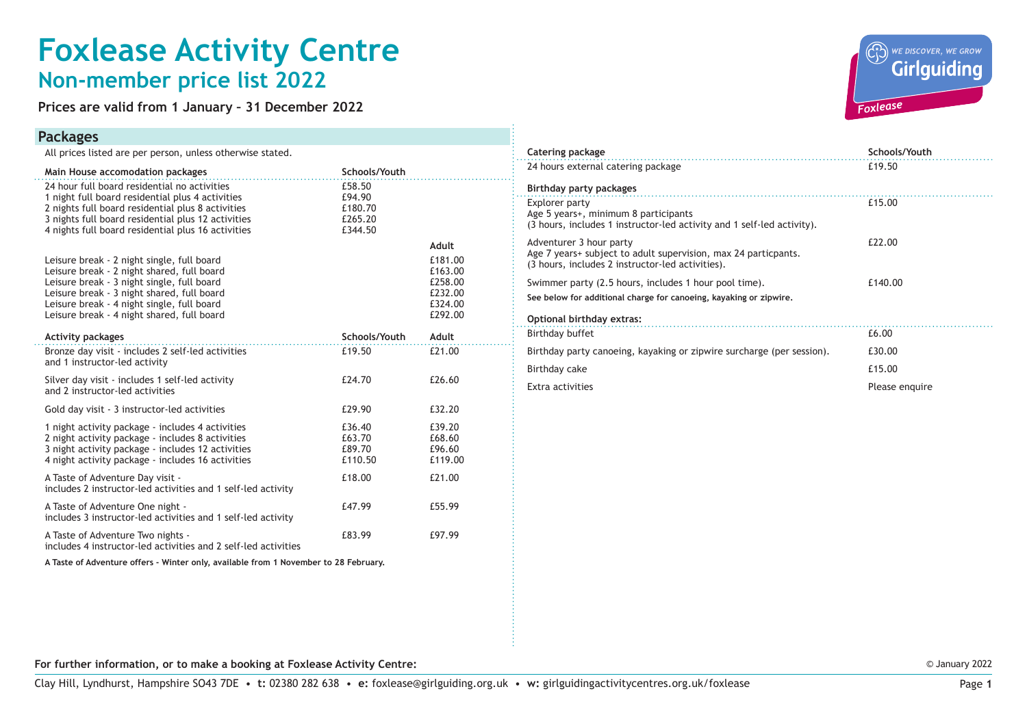## **Foxlease Activity Centre Non-member price list 2022**

**Prices are valid from 1 January – 31 December 2022**

#### **Packages**

All prices listed are per person, unless otherwise stated.

| Main House accomodation packages                                                                                                                                                                                                                                                 | Schools/Youth                                     |                                                                |  |
|----------------------------------------------------------------------------------------------------------------------------------------------------------------------------------------------------------------------------------------------------------------------------------|---------------------------------------------------|----------------------------------------------------------------|--|
| 24 hour full board residential no activities<br>1 night full board residential plus 4 activities<br>2 nights full board residential plus 8 activities<br>3 nights full board residential plus 12 activities<br>4 nights full board residential plus 16 activities                | £58.50<br>£94.90<br>£180.70<br>£265.20<br>£344.50 |                                                                |  |
|                                                                                                                                                                                                                                                                                  |                                                   | Adult                                                          |  |
| Leisure break - 2 night single, full board<br>Leisure break - 2 night shared, full board<br>Leisure break - 3 night single, full board<br>Leisure break - 3 night shared, full board<br>Leisure break - 4 night single, full board<br>Leisure break - 4 night shared, full board |                                                   | £181.00<br>£163.00<br>£258.00<br>£232.00<br>£324.00<br>£292.00 |  |
| <b>Activity packages</b>                                                                                                                                                                                                                                                         | Schools/Youth                                     | Adult                                                          |  |
| Bronze day visit - includes 2 self-led activities<br>and 1 instructor-led activity                                                                                                                                                                                               | £19.50                                            | £21.00                                                         |  |
| Silver day visit - includes 1 self-led activity<br>and 2 instructor-led activities                                                                                                                                                                                               | £24.70                                            | £26.60                                                         |  |
| Gold day visit - 3 instructor-led activities                                                                                                                                                                                                                                     | £29.90                                            | £32.20                                                         |  |
| 1 night activity package - includes 4 activities<br>2 night activity package - includes 8 activities<br>3 night activity package - includes 12 activities<br>4 night activity package - includes 16 activities                                                                   | £36.40<br>£63.70<br>£89.70<br>£110.50             | £39.20<br>£68.60<br>£96.60<br>£119.00                          |  |
| A Taste of Adventure Day visit -<br>includes 2 instructor-led activities and 1 self-led activity                                                                                                                                                                                 | £18.00                                            | £21.00                                                         |  |
| A Taste of Adventure One night -<br>includes 3 instructor-led activities and 1 self-led activity                                                                                                                                                                                 | £47.99                                            | £55.99                                                         |  |
| A Taste of Adventure Two nights -<br>includes 4 instructor-led activities and 2 self-led activities                                                                                                                                                                              | £83.99                                            | £97.99                                                         |  |

**A Taste of Adventure offers - Winter only, available from 1 November to 28 February.**



| Catering package                                                                                                                              | Schools/Youth  |
|-----------------------------------------------------------------------------------------------------------------------------------------------|----------------|
| 24 hours external catering package                                                                                                            | £19.50         |
| Birthday party packages                                                                                                                       |                |
| Explorer party<br>Age 5 years+, minimum 8 participants<br>(3 hours, includes 1 instructor-led activity and 1 self-led activity).              | £15.00         |
| Adventurer 3 hour party<br>Age 7 years+ subject to adult supervision, max 24 particpants.<br>(3 hours, includes 2 instructor-led activities). | £22.00         |
| Swimmer party (2.5 hours, includes 1 hour pool time).<br>See below for additional charge for canoeing, kayaking or zipwire.                   | £140.00        |
| Optional birthday extras:                                                                                                                     |                |
| Birthday buffet                                                                                                                               | £6.00          |
| Birthday party canoeing, kayaking or zipwire surcharge (per session).                                                                         | £30.00         |
| Birthday cake                                                                                                                                 | £15.00         |
| Extra activities                                                                                                                              | Please enquire |

**For further information, or to make a booking at Foxlease Activity Centre:**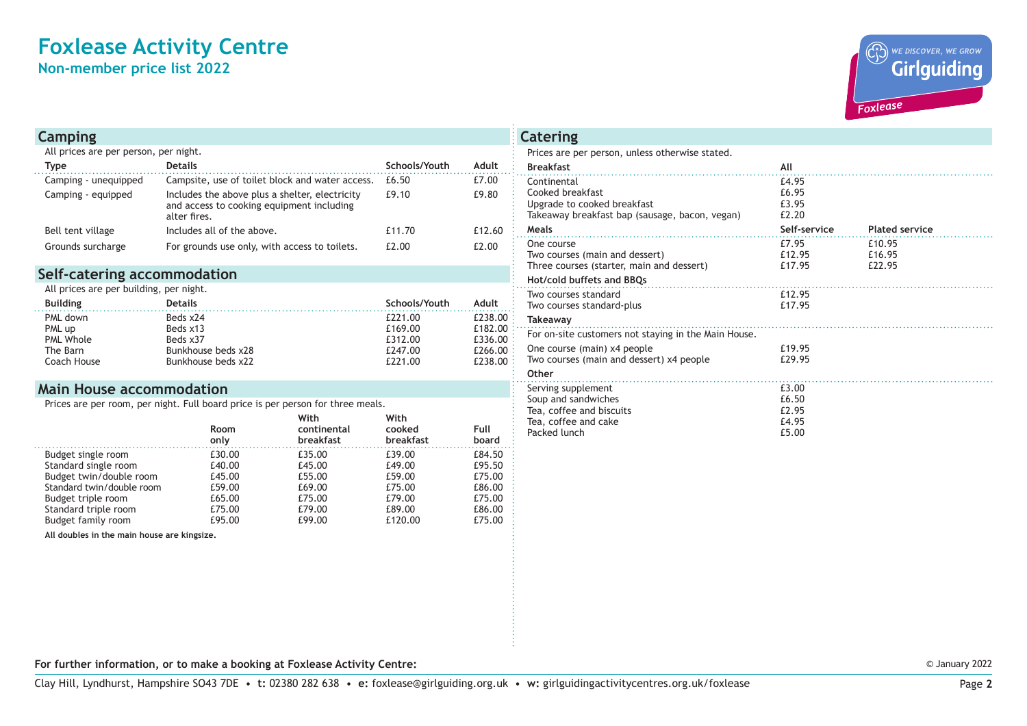### **Foxlease Activity Centre Non-member price list 2022**

WE DISCOVER, WE GROW **Girlguiding** *Foxlease*

| <b>Camping</b>                        |                                                                                                             |               |        |  |  |
|---------------------------------------|-------------------------------------------------------------------------------------------------------------|---------------|--------|--|--|
| All prices are per person, per night. |                                                                                                             |               |        |  |  |
| <b>Type</b>                           | <b>Details</b>                                                                                              | Schools/Youth | Adult  |  |  |
| Camping - unequipped                  | Campsite, use of toilet block and water access.                                                             | £6.50         | £7.00  |  |  |
| Camping - equipped                    | Includes the above plus a shelter, electricity<br>and access to cooking equipment including<br>alter fires. | £9.10         | £9.80  |  |  |
| Bell tent village                     | Includes all of the above.                                                                                  | £11.70        | £12.60 |  |  |
| Grounds surcharge                     | For grounds use only, with access to toilets.                                                               | £2.00         | £2.00  |  |  |

#### **Self-catering accommodation**

All prices are per building, per night.

| <b>Building</b>  | <b>Details</b>     | Schools/Youth | Adult           |
|------------------|--------------------|---------------|-----------------|
| PML down         | Beds x24           | £221.00       | £238.00 $\div$  |
| PML up           | Beds x13           | £169.00       | £182.00 $\cdot$ |
| <b>PML Whole</b> | Beds x37           | £312.00       | £336.00 $\div$  |
| The Barn         | Bunkhouse beds x28 | £247.00       | £266.00:        |
| Coach House      | Bunkhouse beds x22 | £221.00       | £238.00 :       |

#### **Main House accommodation**

Prices are per room, per night. Full board price is per person for three meals.

|                           | Room<br>only | With<br>continental<br>breakfast | With<br>cooked<br>breakfast | Full<br>board |
|---------------------------|--------------|----------------------------------|-----------------------------|---------------|
| Budget single room        | £30.00       | £35.00                           | £39.00                      | £84.50        |
| Standard single room      | £40.00       | £45.00                           | £49.00                      | £95.50        |
| Budget twin/double room   | £45.00       | £55.00                           | £59.00                      | £75.00        |
| Standard twin/double room | £59.00       | £69.00                           | £75.00                      | £86.00        |
| Budget triple room        | £65.00       | £75.00                           | £79.00                      | £75.00        |
| Standard triple room      | £75.00       | £79.00                           | £89.00                      | £86.00        |
| Budget family room        | £95.00       | £99.00                           | £120.00                     | £75.00        |

**All doubles in the main house are kingsize.**

| Prices are per person, unless otherwise stated.                                                                  |                                  |                            |
|------------------------------------------------------------------------------------------------------------------|----------------------------------|----------------------------|
| <b>Breakfast</b>                                                                                                 | All                              |                            |
| Continental<br>Cooked breakfast<br>Upgrade to cooked breakfast<br>Takeaway breakfast bap (sausage, bacon, vegan) | £4.95<br>£6.95<br>£3.95<br>£2.20 |                            |
| Meals                                                                                                            | Self-service                     | <b>Plated service</b>      |
| One course<br>Two courses (main and dessert)<br>Three courses (starter, main and dessert)                        | £7.95<br>£12.95<br>£17.95        | £10.95<br>£16.95<br>£22.95 |
| Hot/cold buffets and BBQs                                                                                        |                                  |                            |
| Two courses standard<br>Two courses standard-plus                                                                | £12.95<br>£17.95                 |                            |
| <b>Takeaway</b>                                                                                                  |                                  |                            |
| For on-site customers not staying in the Main House.                                                             |                                  |                            |
| One course (main) x4 people<br>Two courses (main and dessert) x4 people                                          | £19.95<br>£29.95                 |                            |
| Other                                                                                                            |                                  |                            |
| Serving supplement<br>Soup and sandwiches<br>Tea, coffee and biscuits<br>Tea, coffee and cake                    | £3.00<br>£6.50<br>£2.95<br>£4.95 |                            |
| Packed lunch                                                                                                     | £5.00                            |                            |

**Catering**

**For further information, or to make a booking at Foxlease Activity Centre:**